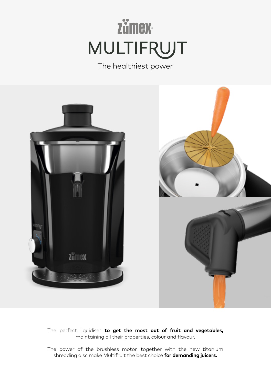# **Zümex MULTIFRUJT**

The healthiest power



The perfect liquidiser **to get the most out of fruit and vegetables,** maintaining all their properties, colour and flavour.

The power of the brushless motor, together with the new titanium shredding disc make Multifruit the best choice **for demanding juicers.**